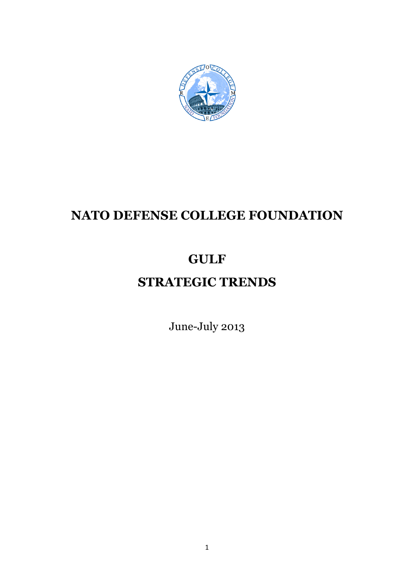

# **NATO DEFENSE COLLEGE FOUNDATION**

# **GULF**

# **STRATEGIC TRENDS**

June-July 2013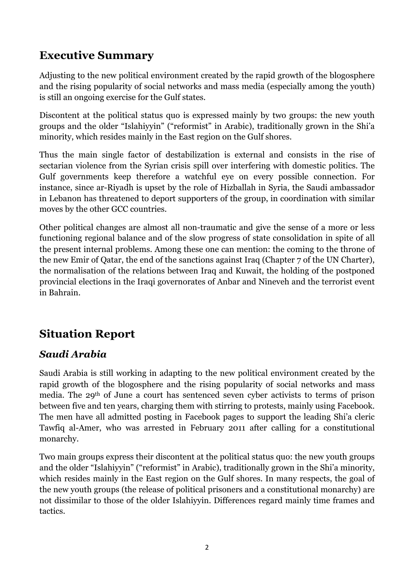## **Executive Summary**

Adjusting to the new political environment created by the rapid growth of the blogosphere and the rising popularity of social networks and mass media (especially among the youth) is still an ongoing exercise for the Gulf states.

Discontent at the political status quo is expressed mainly by two groups: the new youth groups and the older "Islahiyyin" ("reformist" in Arabic), traditionally grown in the Shi'a minority, which resides mainly in the East region on the Gulf shores.

Thus the main single factor of destabilization is external and consists in the rise of sectarian violence from the Syrian crisis spill over interfering with domestic politics. The Gulf governments keep therefore a watchful eye on every possible connection. For instance, since ar-Riyadh is upset by the role of Hizballah in Syria, the Saudi ambassador in Lebanon has threatened to deport supporters of the group, in coordination with similar moves by the other GCC countries.

Other political changes are almost all non-traumatic and give the sense of a more or less functioning regional balance and of the slow progress of state consolidation in spite of all the present internal problems. Among these one can mention: the coming to the throne of the new Emir of Qatar, the end of the sanctions against Iraq (Chapter 7 of the UN Charter), the normalisation of the relations between Iraq and Kuwait, the holding of the postponed provincial elections in the Iraqi governorates of Anbar and Nineveh and the terrorist event in Bahrain.

## **Situation Report**

### *Saudi Arabia*

Saudi Arabia is still working in adapting to the new political environment created by the rapid growth of the blogosphere and the rising popularity of social networks and mass media. The 29th of June a court has sentenced seven cyber activists to terms of prison between five and ten years, charging them with stirring to protests, mainly using Facebook. The men have all admitted posting in Facebook pages to support the leading Shi'a cleric Tawfiq al-Amer, who was arrested in February 2011 after calling for a constitutional monarchy.

Two main groups express their discontent at the political status quo: the new youth groups and the older "Islahiyyin" ("reformist" in Arabic), traditionally grown in the Shi'a minority, which resides mainly in the East region on the Gulf shores. In many respects, the goal of the new youth groups (the release of political prisoners and a constitutional monarchy) are not dissimilar to those of the older Islahiyyin. Differences regard mainly time frames and tactics.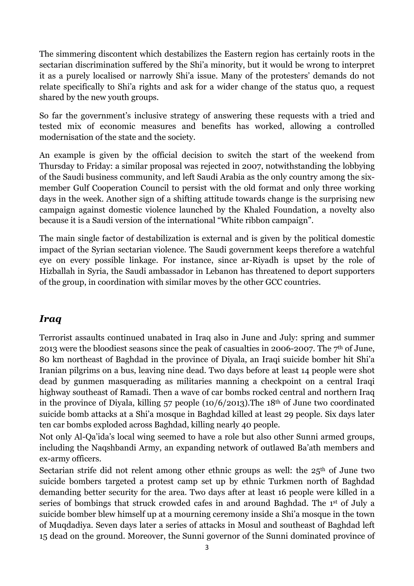The simmering discontent which destabilizes the Eastern region has certainly roots in the sectarian discrimination suffered by the Shi'a minority, but it would be wrong to interpret it as a purely localised or narrowly Shi'a issue. Many of the protesters' demands do not relate specifically to Shi'a rights and ask for a wider change of the status quo, a request shared by the new youth groups.

So far the government's inclusive strategy of answering these requests with a tried and tested mix of economic measures and benefits has worked, allowing a controlled modernisation of the state and the society.

An example is given by the official decision to switch the start of the weekend from Thursday to Friday: a similar proposal was rejected in 2007, notwithstanding the lobbying of the Saudi business community, and left Saudi Arabia as the only country among the sixmember Gulf Cooperation Council to persist with the old format and only three working days in the week. Another sign of a shifting attitude towards change is the surprising new campaign against domestic violence launched by the Khaled Foundation, a novelty also because it is a Saudi version of the international "White ribbon campaign".

The main single factor of destabilization is external and is given by the political domestic impact of the Syrian sectarian violence. The Saudi government keeps therefore a watchful eye on every possible linkage. For instance, since ar-Riyadh is upset by the role of Hizballah in Syria, the Saudi ambassador in Lebanon has threatened to deport supporters of the group, in coordination with similar moves by the other GCC countries.

#### *Iraq*

Terrorist assaults continued unabated in Iraq also in June and July: spring and summer 2013 were the bloodiest seasons since the peak of casualties in 2006-2007. The 7th of June, 80 km northeast of Baghdad in the province of Diyala, an Iraqi suicide bomber hit Shi'a Iranian pilgrims on a bus, leaving nine dead. Two days before at least 14 people were shot dead by gunmen masquerading as militaries manning a checkpoint on a central Iraqi highway southeast of Ramadi. Then a wave of car bombs rocked central and northern Iraq in the province of Diyala, killing 57 people (10/6/2013).The 18th of June two coordinated suicide bomb attacks at a Shi'a mosque in Baghdad killed at least 29 people. Six days later ten car bombs exploded across Baghdad, killing nearly 40 people.

Not only Al-Qa'ida's local wing seemed to have a role but also other Sunni armed groups, including the Naqshbandi Army, an expanding network of outlawed Ba'ath members and ex-army officers.

Sectarian strife did not relent among other ethnic groups as well: the  $25<sup>th</sup>$  of June two suicide bombers targeted a protest camp set up by ethnic Turkmen north of Baghdad demanding better security for the area. Two days after at least 16 people were killed in a series of bombings that struck crowded cafes in and around Baghdad. The 1<sup>st</sup> of July a suicide bomber blew himself up at a mourning ceremony inside a Shi'a mosque in the town of Muqdadiya. Seven days later a series of attacks in Mosul and southeast of Baghdad left 15 dead on the ground. Moreover, the Sunni governor of the Sunni dominated province of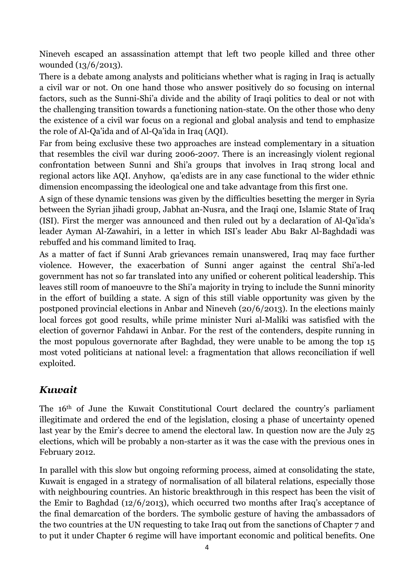Nineveh escaped an assassination attempt that left two people killed and three other wounded (13/6/2013).

There is a debate among analysts and politicians whether what is raging in Iraq is actually a civil war or not. On one hand those who answer positively do so focusing on internal factors, such as the Sunni-Shi'a divide and the ability of Iraqi politics to deal or not with the challenging transition towards a functioning nation-state. On the other those who deny the existence of a civil war focus on a regional and global analysis and tend to emphasize the role of Al-Qa'ida and of Al-Qa'ida in Iraq (AQI).

Far from being exclusive these two approaches are instead complementary in a situation that resembles the civil war during 2006-2007. There is an increasingly violent regional confrontation between Sunni and Shi'a groups that involves in Iraq strong local and regional actors like AQI. Anyhow, qa'edists are in any case functional to the wider ethnic dimension encompassing the ideological one and take advantage from this first one.

A sign of these dynamic tensions was given by the difficulties besetting the merger in Syria between the Syrian jihadi group, Jabhat an-Nusra, and the Iraqi one, Islamic State of Iraq (ISI). First the merger was announced and then ruled out by a declaration of Al-Qa'ida's leader Ayman Al-Zawahiri, in a letter in which ISI's leader Abu Bakr Al-Baghdadi was rebuffed and his command limited to Iraq.

As a matter of fact if Sunni Arab grievances remain unanswered, Iraq may face further violence. However, the exacerbation of Sunni anger against the central Shi'a-led government has not so far translated into any unified or coherent political leadership. This leaves still room of manoeuvre to the Shi'a majority in trying to include the Sunni minority in the effort of building a state. A sign of this still viable opportunity was given by the postponed provincial elections in Anbar and Nineveh (20/6/2013). In the elections mainly local forces got good results, while prime minister Nuri al-Maliki was satisfied with the election of governor Fahdawi in Anbar. For the rest of the contenders, despite running in the most populous governorate after Baghdad, they were unable to be among the top 15 most voted politicians at national level: a fragmentation that allows reconciliation if well exploited.

## *Kuwait*

The 16th of June the Kuwait Constitutional Court declared the country's parliament illegitimate and ordered the end of the legislation, closing a phase of uncertainty opened last year by the Emir's decree to amend the electoral law. In question now are the July 25 elections, which will be probably a non-starter as it was the case with the previous ones in February 2012.

In parallel with this slow but ongoing reforming process, aimed at consolidating the state, Kuwait is engaged in a strategy of normalisation of all bilateral relations, especially those with neighbouring countries. An historic breakthrough in this respect has been the visit of the Emir to Baghdad (12/6/2013), which occurred two months after Iraq's acceptance of the final demarcation of the borders. The symbolic gesture of having the ambassadors of the two countries at the UN requesting to take Iraq out from the sanctions of Chapter 7 and to put it under Chapter 6 regime will have important economic and political benefits. One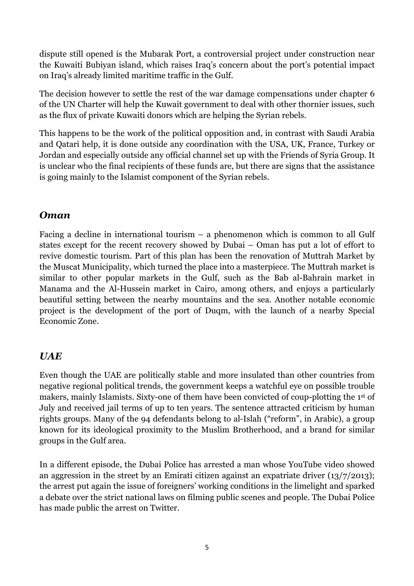dispute still opened is the Mubarak Port, a controversial project under construction near the Kuwaiti Bubiyan island, which raises Iraq's concern about the port's potential impact on Iraq's already limited maritime traffic in the Gulf.

The decision however to settle the rest of the war damage compensations under chapter 6 of the UN Charter will help the Kuwait government to deal with other thornier issues, such as the flux of private Kuwaiti donors which are helping the Syrian rebels.

This happens to be the work of the political opposition and, in contrast with Saudi Arabia and Qatari help, it is done outside any coordination with the USA, UK, France, Turkey or Jordan and especially outside any official channel set up with the Friends of Syria Group. It is unclear who the final recipients of these funds are, but there are signs that the assistance is going mainly to the Islamist component of the Syrian rebels.

#### *Oman*

Facing a decline in international tourism – a phenomenon which is common to all Gulf states except for the recent recovery showed by Dubai – Oman has put a lot of effort to revive domestic tourism. Part of this plan has been the renovation of Muttrah Market by the Muscat Municipality, which turned the place into a masterpiece. The Muttrah market is similar to other popular markets in the Gulf, such as the Bab al-Bahrain market in Manama and the Al-Hussein market in Cairo, among others, and enjoys a particularly beautiful setting between the nearby mountains and the sea. Another notable economic project is the development of the port of Duqm, with the launch of a nearby Special Economic Zone.

#### *UAE*

Even though the UAE are politically stable and more insulated than other countries from negative regional political trends, the government keeps a watchful eye on possible trouble makers, mainly Islamists. Sixty-one of them have been convicted of coup-plotting the 1st of July and received jail terms of up to ten years. The sentence attracted criticism by human rights groups. Many of the 94 defendants belong to al-Islah ("reform", in Arabic), a group known for its ideological proximity to the Muslim Brotherhood, and a brand for similar groups in the Gulf area.

In a different episode, the Dubai Police has arrested a man whose YouTube video showed an aggression in the street by an Emirati citizen against an expatriate driver (13/7/2013); the arrest put again the issue of foreigners' working conditions in the limelight and sparked a debate over the strict national laws on filming public scenes and people. The Dubai Police has made public the arrest on Twitter.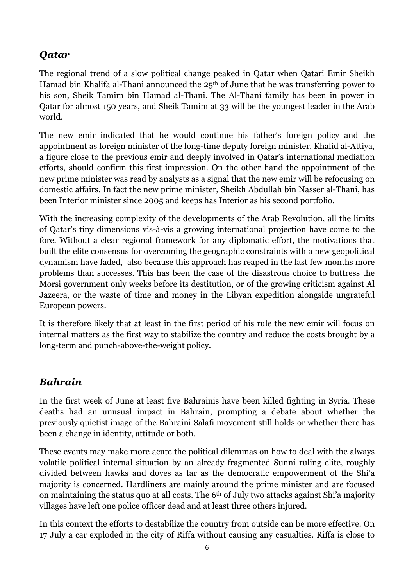### *Qatar*

The regional trend of a slow political change peaked in Qatar when Qatari Emir Sheikh Hamad bin Khalifa al-Thani announced the  $25<sup>th</sup>$  of June that he was transferring power to his son, Sheik Tamim bin Hamad al-Thani. The Al-Thani family has been in power in Qatar for almost 150 years, and Sheik Tamim at 33 will be the youngest leader in the Arab world.

The new emir indicated that he would continue his father's foreign policy and the appointment as foreign minister of the long-time deputy foreign minister, Khalid al-Attiya, a figure close to the previous emir and deeply involved in Qatar's international mediation efforts, should confirm this first impression. On the other hand the appointment of the new prime minister was read by analysts as a signal that the new emir will be refocusing on domestic affairs. In fact the new prime minister, Sheikh Abdullah bin Nasser al-Thani, has been Interior minister since 2005 and keeps has Interior as his second portfolio.

With the increasing complexity of the developments of the Arab Revolution, all the limits of Qatar's tiny dimensions vis-à-vis a growing international projection have come to the fore. Without a clear regional framework for any diplomatic effort, the motivations that built the elite consensus for overcoming the geographic constraints with a new geopolitical dynamism have faded, also because this approach has reaped in the last few months more problems than successes. This has been the case of the disastrous choice to buttress the Morsi government only weeks before its destitution, or of the growing criticism against Al Jazeera, or the waste of time and money in the Libyan expedition alongside ungrateful European powers.

It is therefore likely that at least in the first period of his rule the new emir will focus on internal matters as the first way to stabilize the country and reduce the costs brought by a long-term and punch-above-the-weight policy.

## *Bahrain*

In the first week of June at least five Bahrainis have been killed fighting in Syria. These deaths had an unusual impact in Bahrain, prompting a debate about whether the previously quietist image of the Bahraini Salafi movement still holds or whether there has been a change in identity, attitude or both.

These events may make more acute the political dilemmas on how to deal with the always volatile political internal situation by an already fragmented Sunni ruling elite, roughly divided between hawks and doves as far as the democratic empowerment of the Shi'a majority is concerned. Hardliners are mainly around the prime minister and are focused on maintaining the status quo at all costs. The 6th of July two attacks against Shi'a majority villages have left one police officer dead and at least three others injured.

In this context the efforts to destabilize the country from outside can be more effective. On 17 July a car exploded in the city of Riffa without causing any casualties. Riffa is close to